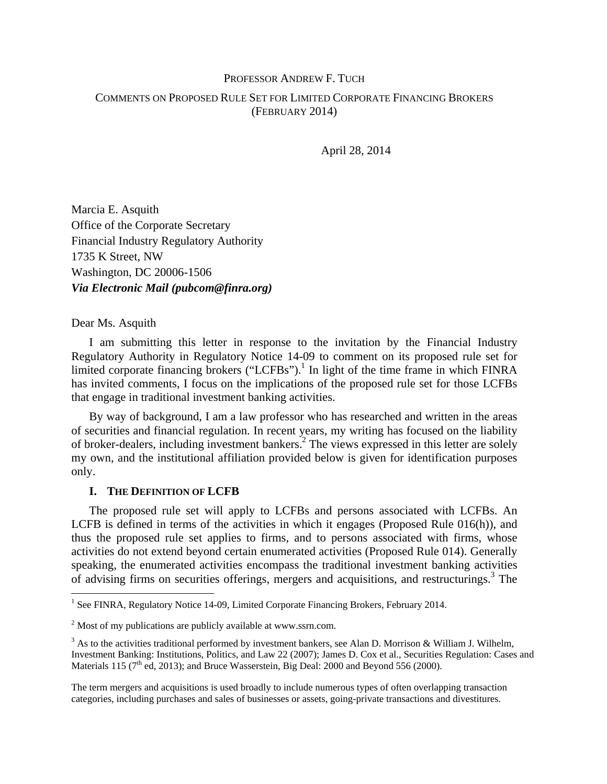# PROFESSOR ANDREW F. TUCH

# COMMENTS ON PROPOSED RULE SET FOR LIMITED CORPORATE FINANCING BROKERS (FEBRUARY 2014)

April 28, 2014

Marcia E. Asquith Office of the Corporate Secretary Financial Industry Regulatory Authority 1735 K Street, NW Washington, DC 20006-1506 *Via Electronic Mail (pubcom@finra.org)* 

## Dear Ms. Asquith

I am submitting this letter in response to the invitation by the Financial Industry Regulatory Authority in Regulatory Notice 14-09 to comment on its proposed rule set for limited corporate financing brokers ("LCFBs").<sup>1</sup> In light of the time frame in which FINRA has invited comments, I focus on the implications of the proposed rule set for those LCFBs that engage in traditional investment banking activities.

By way of background, I am a law professor who has researched and written in the areas of securities and financial regulation. In recent years, my writing has focused on the liability of broker-dealers, including investment bankers.<sup>2</sup> The views expressed in this letter are solely my own, and the institutional affiliation provided below is given for identification purposes only.

# **I. THE DEFINITION OF LCFB**

The proposed rule set will apply to LCFBs and persons associated with LCFBs. An LCFB is defined in terms of the activities in which it engages (Proposed Rule 016(h)), and thus the proposed rule set applies to firms, and to persons associated with firms, whose activities do not extend beyond certain enumerated activities (Proposed Rule 014). Generally speaking, the enumerated activities encompass the traditional investment banking activities of advising firms on securities offerings, mergers and acquisitions, and restructurings.<sup>3</sup> The

The term mergers and acquisitions is used broadly to include numerous types of often overlapping transaction categories, including purchases and sales of businesses or assets, going-private transactions and divestitures.

<sup>&</sup>lt;sup>1</sup> See FINRA, Regulatory Notice 14-09, Limited Corporate Financing Brokers, February 2014.

 $2^{2}$  Most of my publications are publicly available at www.ssrn.com.

 $3$  As to the activities traditional performed by investment bankers, see Alan D. Morrison & William J. Wilhelm, Investment Banking: Institutions, Politics, and Law 22 (2007); James D. Cox et al., Securities Regulation: Cases and Materials 115 ( $7<sup>th</sup>$  ed, 2013); and Bruce Wasserstein, Big Deal: 2000 and Beyond 556 (2000).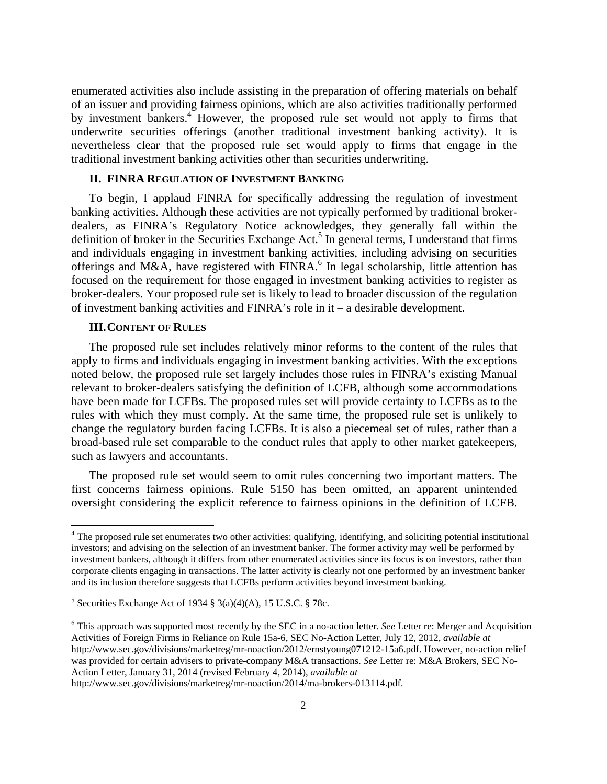enumerated activities also include assisting in the preparation of offering materials on behalf of an issuer and providing fairness opinions, which are also activities traditionally performed by investment bankers.<sup>4</sup> However, the proposed rule set would not apply to firms that underwrite securities offerings (another traditional investment banking activity). It is nevertheless clear that the proposed rule set would apply to firms that engage in the traditional investment banking activities other than securities underwriting.

#### **II. FINRA REGULATION OF INVESTMENT BANKING**

To begin, I applaud FINRA for specifically addressing the regulation of investment banking activities. Although these activities are not typically performed by traditional brokerdealers, as FINRA's Regulatory Notice acknowledges, they generally fall within the definition of broker in the Securities Exchange Act.<sup>5</sup> In general terms, I understand that firms and individuals engaging in investment banking activities, including advising on securities offerings and M&A, have registered with FINRA.<sup>6</sup> In legal scholarship, little attention has focused on the requirement for those engaged in investment banking activities to register as broker-dealers. Your proposed rule set is likely to lead to broader discussion of the regulation of investment banking activities and FINRA's role in it – a desirable development.

# **III.CONTENT OF RULES**

The proposed rule set includes relatively minor reforms to the content of the rules that apply to firms and individuals engaging in investment banking activities. With the exceptions noted below, the proposed rule set largely includes those rules in FINRA's existing Manual relevant to broker-dealers satisfying the definition of LCFB, although some accommodations have been made for LCFBs. The proposed rules set will provide certainty to LCFBs as to the rules with which they must comply. At the same time, the proposed rule set is unlikely to change the regulatory burden facing LCFBs. It is also a piecemeal set of rules, rather than a broad-based rule set comparable to the conduct rules that apply to other market gatekeepers, such as lawyers and accountants.

The proposed rule set would seem to omit rules concerning two important matters. The first concerns fairness opinions. Rule 5150 has been omitted, an apparent unintended oversight considering the explicit reference to fairness opinions in the definition of LCFB.

http://www.sec.gov/divisions/marketreg/mr-noaction/2014/ma-brokers-013114.pdf.

<sup>&</sup>lt;sup>4</sup> The proposed rule set enumerates two other activities: qualifying, identifying, and soliciting potential institutional investors; and advising on the selection of an investment banker. The former activity may well be performed by investment bankers, although it differs from other enumerated activities since its focus is on investors, rather than corporate clients engaging in transactions. The latter activity is clearly not one performed by an investment banker and its inclusion therefore suggests that LCFBs perform activities beyond investment banking.

<sup>&</sup>lt;sup>5</sup> Securities Exchange Act of 1934 § 3(a)(4)(A), 15 U.S.C. § 78c.

<sup>6</sup> This approach was supported most recently by the SEC in a no-action letter. *See* Letter re: Merger and Acquisition Activities of Foreign Firms in Reliance on Rule 15a-6, SEC No-Action Letter, July 12, 2012, *available at* http://www.sec.gov/divisions/marketreg/mr-noaction/2012/ernstyoung071212-15a6.pdf. However, no-action relief was provided for certain advisers to private-company M&A transactions. *See* Letter re: M&A Brokers, SEC No-Action Letter, January 31, 2014 (revised February 4, 2014), *available at*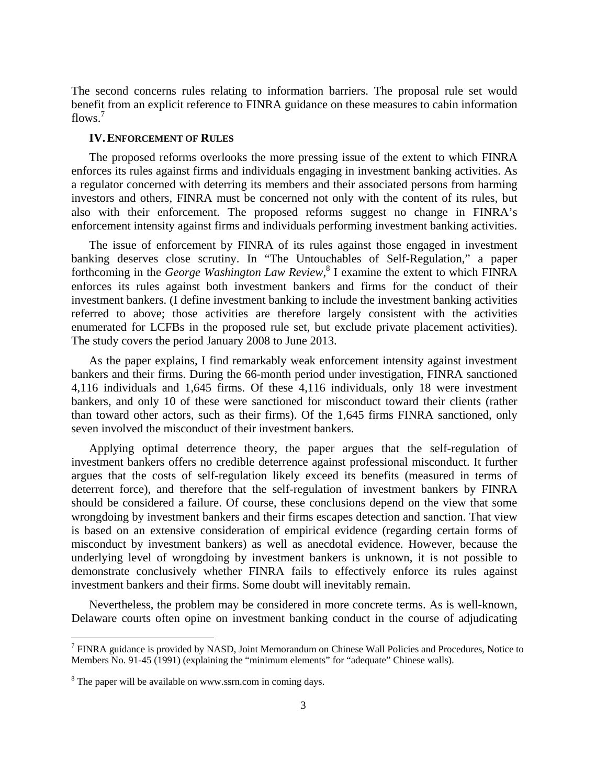The second concerns rules relating to information barriers. The proposal rule set would benefit from an explicit reference to FINRA guidance on these measures to cabin information flows<sup>7</sup>

## **IV.ENFORCEMENT OF RULES**

The proposed reforms overlooks the more pressing issue of the extent to which FINRA enforces its rules against firms and individuals engaging in investment banking activities. As a regulator concerned with deterring its members and their associated persons from harming investors and others, FINRA must be concerned not only with the content of its rules, but also with their enforcement. The proposed reforms suggest no change in FINRA's enforcement intensity against firms and individuals performing investment banking activities.

The issue of enforcement by FINRA of its rules against those engaged in investment banking deserves close scrutiny. In "The Untouchables of Self-Regulation," a paper forthcoming in the *George Washington Law Review*,<sup>8</sup> I examine the extent to which FINRA enforces its rules against both investment bankers and firms for the conduct of their investment bankers. (I define investment banking to include the investment banking activities referred to above; those activities are therefore largely consistent with the activities enumerated for LCFBs in the proposed rule set, but exclude private placement activities). The study covers the period January 2008 to June 2013.

As the paper explains, I find remarkably weak enforcement intensity against investment bankers and their firms. During the 66-month period under investigation, FINRA sanctioned 4,116 individuals and 1,645 firms. Of these 4,116 individuals, only 18 were investment bankers, and only 10 of these were sanctioned for misconduct toward their clients (rather than toward other actors, such as their firms). Of the 1,645 firms FINRA sanctioned, only seven involved the misconduct of their investment bankers.

Applying optimal deterrence theory, the paper argues that the self-regulation of investment bankers offers no credible deterrence against professional misconduct. It further argues that the costs of self-regulation likely exceed its benefits (measured in terms of deterrent force), and therefore that the self-regulation of investment bankers by FINRA should be considered a failure. Of course, these conclusions depend on the view that some wrongdoing by investment bankers and their firms escapes detection and sanction. That view is based on an extensive consideration of empirical evidence (regarding certain forms of misconduct by investment bankers) as well as anecdotal evidence. However, because the underlying level of wrongdoing by investment bankers is unknown, it is not possible to demonstrate conclusively whether FINRA fails to effectively enforce its rules against investment bankers and their firms. Some doubt will inevitably remain.

Nevertheless, the problem may be considered in more concrete terms. As is well-known, Delaware courts often opine on investment banking conduct in the course of adjudicating

<sup>&</sup>lt;sup>7</sup> FINRA guidance is provided by NASD, Joint Memorandum on Chinese Wall Policies and Procedures, Notice to Members No. 91-45 (1991) (explaining the "minimum elements" for "adequate" Chinese walls).

<sup>&</sup>lt;sup>8</sup> The paper will be available on www.ssrn.com in coming days.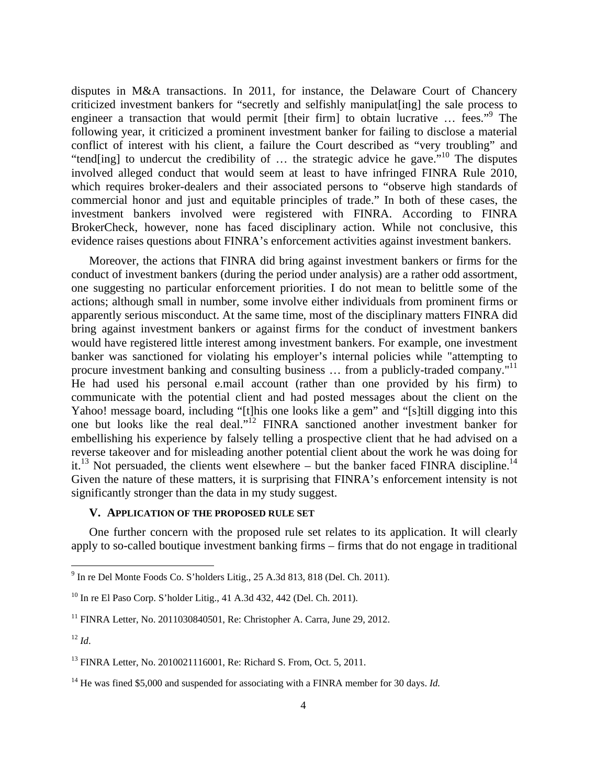disputes in M&A transactions. In 2011, for instance, the Delaware Court of Chancery criticized investment bankers for "secretly and selfishly manipulat[ing] the sale process to engineer a transaction that would permit [their firm] to obtain lucrative ... fees."<sup>9</sup> The following year, it criticized a prominent investment banker for failing to disclose a material conflict of interest with his client, a failure the Court described as "very troubling" and "tend[ing] to undercut the credibility of  $\ldots$  the strategic advice he gave."<sup>10</sup> The disputes involved alleged conduct that would seem at least to have infringed FINRA Rule 2010, which requires broker-dealers and their associated persons to "observe high standards of commercial honor and just and equitable principles of trade." In both of these cases, the investment bankers involved were registered with FINRA. According to FINRA BrokerCheck, however, none has faced disciplinary action. While not conclusive, this evidence raises questions about FINRA's enforcement activities against investment bankers.

Moreover, the actions that FINRA did bring against investment bankers or firms for the conduct of investment bankers (during the period under analysis) are a rather odd assortment, one suggesting no particular enforcement priorities. I do not mean to belittle some of the actions; although small in number, some involve either individuals from prominent firms or apparently serious misconduct. At the same time, most of the disciplinary matters FINRA did bring against investment bankers or against firms for the conduct of investment bankers would have registered little interest among investment bankers. For example, one investment banker was sanctioned for violating his employer's internal policies while "attempting to procure investment banking and consulting business ... from a publicly-traded company."<sup>11</sup> He had used his personal e.mail account (rather than one provided by his firm) to communicate with the potential client and had posted messages about the client on the Yahoo! message board, including "[t]his one looks like a gem" and "[s]till digging into this one but looks like the real deal."12 FINRA sanctioned another investment banker for embellishing his experience by falsely telling a prospective client that he had advised on a reverse takeover and for misleading another potential client about the work he was doing for it.<sup>13</sup> Not persuaded, the clients went elsewhere – but the banker faced FINRA discipline.<sup>14</sup> Given the nature of these matters, it is surprising that FINRA's enforcement intensity is not significantly stronger than the data in my study suggest.

## **V. APPLICATION OF THE PROPOSED RULE SET**

One further concern with the proposed rule set relates to its application. It will clearly apply to so-called boutique investment banking firms – firms that do not engage in traditional

<sup>9</sup> In re Del Monte Foods Co. S'holders Litig., 25 A.3d 813, 818 (Del. Ch. 2011).

<sup>10</sup> In re El Paso Corp. S'holder Litig., 41 A.3d 432, 442 (Del. Ch. 2011).

<sup>&</sup>lt;sup>11</sup> FINRA Letter, No. 2011030840501, Re: Christopher A. Carra, June 29, 2012.

 $12 \, Id.$ 

<sup>13</sup> FINRA Letter, No. 2010021116001, Re: Richard S. From, Oct. 5, 2011.

<sup>&</sup>lt;sup>14</sup> He was fined \$5,000 and suspended for associating with a FINRA member for 30 days. *Id.*